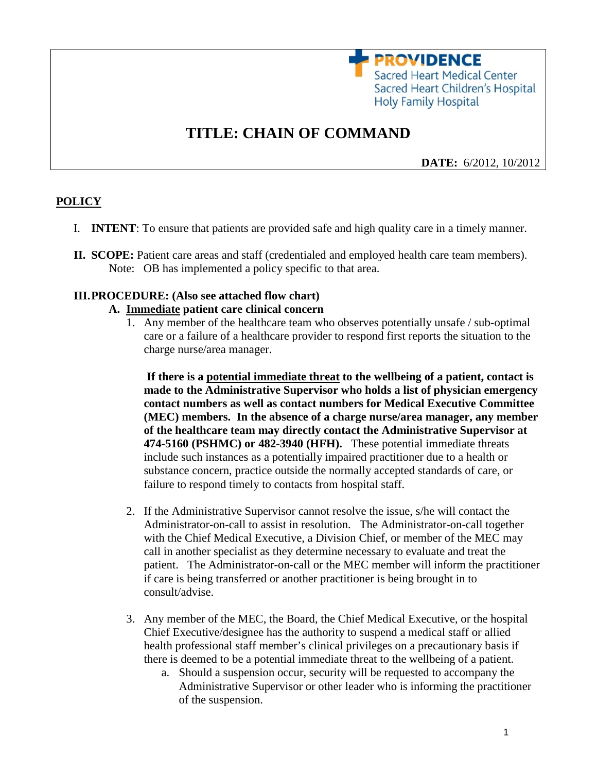**PROVIDENCE** Sacred Heart Medical Center Sacred Heart Children's Hospital Holy Family Hospital

# **TITLE: CHAIN OF COMMAND**

 **DATE:** 6/2012, 10/2012

# **POLICY**

- I. **INTENT**: To ensure that patients are provided safe and high quality care in a timely manner.
- **II. SCOPE:** Patient care areas and staff (credentialed and employed health care team members). Note: OB has implemented a policy specific to that area.

### **III.PROCEDURE: (Also see attached flow chart)**

#### **A. Immediate patient care clinical concern**

1. Any member of the healthcare team who observes potentially unsafe / sub-optimal care or a failure of a healthcare provider to respond first reports the situation to the charge nurse/area manager.

**If there is a potential immediate threat to the wellbeing of a patient, contact is made to the Administrative Supervisor who holds a list of physician emergency contact numbers as well as contact numbers for Medical Executive Committee (MEC) members. In the absence of a charge nurse/area manager, any member of the healthcare team may directly contact the Administrative Supervisor at 474-5160 (PSHMC) or 482-3940 (HFH).** These potential immediate threats include such instances as a potentially impaired practitioner due to a health or substance concern, practice outside the normally accepted standards of care, or failure to respond timely to contacts from hospital staff.

- 2. If the Administrative Supervisor cannot resolve the issue, s/he will contact the Administrator-on-call to assist in resolution. The Administrator-on-call together with the Chief Medical Executive, a Division Chief, or member of the MEC may call in another specialist as they determine necessary to evaluate and treat the patient. The Administrator-on-call or the MEC member will inform the practitioner if care is being transferred or another practitioner is being brought in to consult/advise.
- 3. Any member of the MEC, the Board, the Chief Medical Executive, or the hospital Chief Executive/designee has the authority to suspend a medical staff or allied health professional staff member's clinical privileges on a precautionary basis if there is deemed to be a potential immediate threat to the wellbeing of a patient.
	- a. Should a suspension occur, security will be requested to accompany the Administrative Supervisor or other leader who is informing the practitioner of the suspension.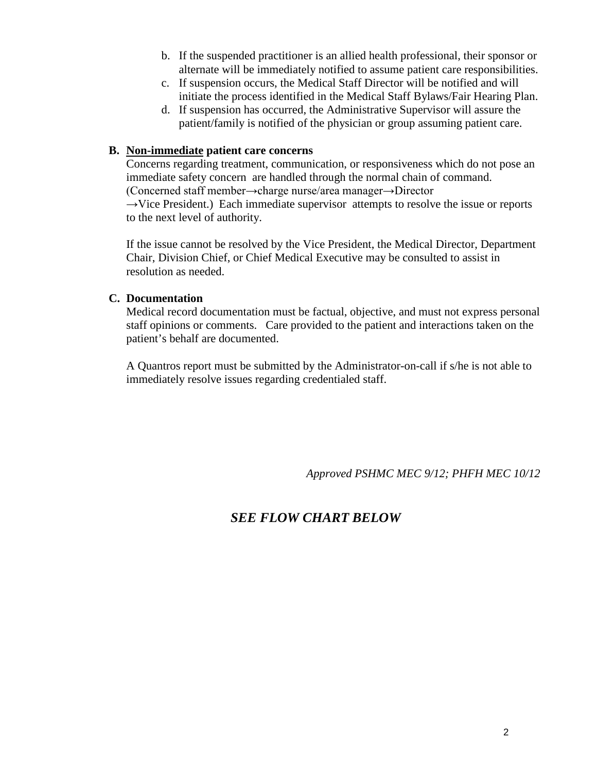- b. If the suspended practitioner is an allied health professional, their sponsor or alternate will be immediately notified to assume patient care responsibilities.
- c. If suspension occurs, the Medical Staff Director will be notified and will initiate the process identified in the Medical Staff Bylaws/Fair Hearing Plan.
- d. If suspension has occurred, the Administrative Supervisor will assure the patient/family is notified of the physician or group assuming patient care.

# **B. Non-immediate patient care concerns**

Concerns regarding treatment, communication, or responsiveness which do not pose an immediate safety concern are handled through the normal chain of command. (Concerned staff member→charge nurse/area manager→Director

 $\rightarrow$ Vice President.) Each immediate supervisor attempts to resolve the issue or reports to the next level of authority.

If the issue cannot be resolved by the Vice President, the Medical Director, Department Chair, Division Chief, or Chief Medical Executive may be consulted to assist in resolution as needed.

## **C. Documentation**

Medical record documentation must be factual, objective, and must not express personal staff opinions or comments. Care provided to the patient and interactions taken on the patient's behalf are documented.

A Quantros report must be submitted by the Administrator-on-call if s/he is not able to immediately resolve issues regarding credentialed staff.

*Approved PSHMC MEC 9/12; PHFH MEC 10/12*

# *SEE FLOW CHART BELOW*